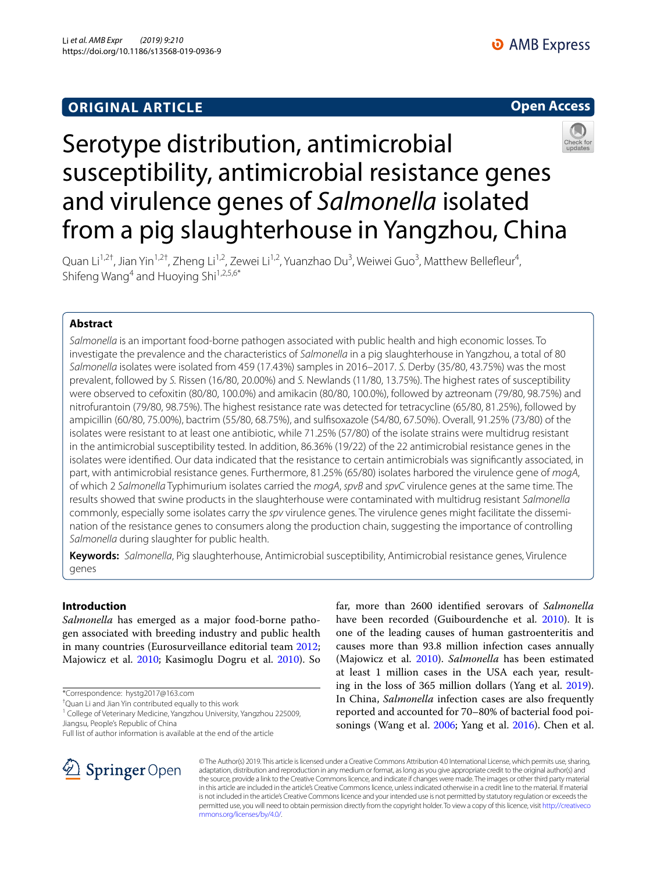



# Serotype distribution, antimicrobial susceptibility, antimicrobial resistance genes and virulence genes of *Salmonella* isolated from a pig slaughterhouse in Yangzhou, China

Quan Li<sup>1,2†</sup>, Jian Yin<sup>1,2†</sup>, Zheng Li<sup>1,2</sup>, Zewei Li<sup>1,2</sup>, Yuanzhao Du<sup>3</sup>, Weiwei Guo<sup>3</sup>, Matthew Bellefleur<sup>4</sup>, Shifeng Wang<sup>4</sup> and Huoying Shi<sup>1,2,5,6\*</sup>

## **Abstract**

*Salmonella* is an important food-borne pathogen associated with public health and high economic losses. To investigate the prevalence and the characteristics of *Salmonella* in a pig slaughterhouse in Yangzhou, a total of 80 *Salmonella* isolates were isolated from 459 (17.43%) samples in 2016–2017. *S.* Derby (35/80, 43.75%) was the most prevalent, followed by *S.* Rissen (16/80, 20.00%) and *S.* Newlands (11/80, 13.75%). The highest rates of susceptibility were observed to cefoxitin (80/80, 100.0%) and amikacin (80/80, 100.0%), followed by aztreonam (79/80, 98.75%) and nitrofurantoin (79/80, 98.75%). The highest resistance rate was detected for tetracycline (65/80, 81.25%), followed by ampicillin (60/80, 75.00%), bactrim (55/80, 68.75%), and sulfsoxazole (54/80, 67.50%). Overall, 91.25% (73/80) of the isolates were resistant to at least one antibiotic, while 71.25% (57/80) of the isolate strains were multidrug resistant in the antimicrobial susceptibility tested. In addition, 86.36% (19/22) of the 22 antimicrobial resistance genes in the isolates were identifed. Our data indicated that the resistance to certain antimicrobials was signifcantly associated, in part, with antimicrobial resistance genes. Furthermore, 81.25% (65/80) isolates harbored the virulence gene of *mogA*, of which 2 *Salmonella* Typhimurium isolates carried the *mogA*, *spvB* and *spvC* virulence genes at the same time. The results showed that swine products in the slaughterhouse were contaminated with multidrug resistant *Salmonella* commonly, especially some isolates carry the *spv* virulence genes. The virulence genes might facilitate the dissemination of the resistance genes to consumers along the production chain, suggesting the importance of controlling *Salmonella* during slaughter for public health.

**Keywords:** *Salmonella*, Pig slaughterhouse, Antimicrobial susceptibility, Antimicrobial resistance genes, Virulence genes

## **Introduction**

*Salmonella* has emerged as a major food-borne pathogen associated with breeding industry and public health in many countries (Eurosurveillance editorial team [2012](#page-10-0); Majowicz et al. [2010;](#page-11-0) Kasimoglu Dogru et al. [2010](#page-10-1)). So

\*Correspondence: hystg2017@163.com

† Quan Li and Jian Yin contributed equally to this work

<sup>1</sup> College of Veterinary Medicine, Yangzhou University, Yangzhou 225009, Jiangsu, People's Republic of China

Full list of author information is available at the end of the article



far, more than 2600 identifed serovars of *Salmonella* have been recorded (Guibourdenche et al. [2010](#page-10-2)). It is one of the leading causes of human gastroenteritis and causes more than 93.8 million infection cases annually (Majowicz et al. [2010\)](#page-11-0). *Salmonella* has been estimated at least 1 million cases in the USA each year, resulting in the loss of 365 million dollars (Yang et al. [2019](#page-11-1)). In China, *Salmonella* infection cases are also frequently reported and accounted for 70–80% of bacterial food poisonings (Wang et al. [2006;](#page-11-2) Yang et al. [2016](#page-11-3)). Chen et al.

© The Author(s) 2019. This article is licensed under a Creative Commons Attribution 4.0 International License, which permits use, sharing, adaptation, distribution and reproduction in any medium or format, as long as you give appropriate credit to the original author(s) and the source, provide a link to the Creative Commons licence, and indicate if changes were made. The images or other third party material in this article are included in the article's Creative Commons licence, unless indicated otherwise in a credit line to the material. If material is not included in the article's Creative Commons licence and your intended use is not permitted by statutory regulation or exceeds the permitted use, you will need to obtain permission directly from the copyright holder. To view a copy of this licence, visit [http://creativeco](http://creativecommons.org/licenses/by/4.0/) [mmons.org/licenses/by/4.0/.](http://creativecommons.org/licenses/by/4.0/)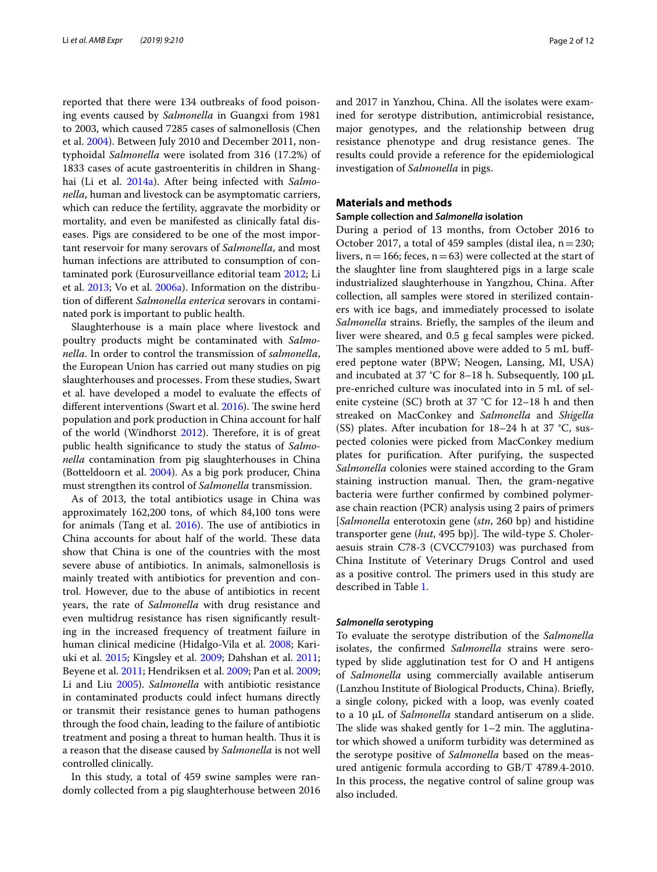reported that there were 134 outbreaks of food poisoning events caused by *Salmonella* in Guangxi from 1981 to 2003, which caused 7285 cases of salmonellosis (Chen et al. [2004](#page-10-3)). Between July 2010 and December 2011, nontyphoidal *Salmonella* were isolated from 316 (17.2%) of 1833 cases of acute gastroenteritis in children in Shanghai (Li et al. [2014a](#page-11-4)). After being infected with *Salmonella*, human and livestock can be asymptomatic carriers, which can reduce the fertility, aggravate the morbidity or mortality, and even be manifested as clinically fatal diseases. Pigs are considered to be one of the most important reservoir for many serovars of *Salmonella*, and most human infections are attributed to consumption of contaminated pork (Eurosurveillance editorial team [2012](#page-10-0); Li et al. [2013](#page-11-5); Vo et al. [2006a\)](#page-11-6). Information on the distribution of diferent *Salmonella enterica* serovars in contaminated pork is important to public health.

Slaughterhouse is a main place where livestock and poultry products might be contaminated with *Salmonella*. In order to control the transmission of *salmonella*, the European Union has carried out many studies on pig slaughterhouses and processes. From these studies, Swart et al. have developed a model to evaluate the efects of different interventions (Swart et al. [2016\)](#page-11-7). The swine herd population and pork production in China account for half of the world (Windhorst  $2012$ ). Therefore, it is of great public health signifcance to study the status of *Salmonella* contamination from pig slaughterhouses in China (Botteldoorn et al. [2004\)](#page-10-4). As a big pork producer, China must strengthen its control of *Salmonella* transmission.

As of 2013, the total antibiotics usage in China was approximately 162,200 tons, of which 84,100 tons were for animals (Tang et al.  $2016$ ). The use of antibiotics in China accounts for about half of the world. These data show that China is one of the countries with the most severe abuse of antibiotics. In animals, salmonellosis is mainly treated with antibiotics for prevention and control. However, due to the abuse of antibiotics in recent years, the rate of *Salmonella* with drug resistance and even multidrug resistance has risen signifcantly resulting in the increased frequency of treatment failure in human clinical medicine (Hidalgo-Vila et al. [2008;](#page-10-5) Kariuki et al. [2015](#page-10-6); Kingsley et al. [2009](#page-10-7); Dahshan et al. [2011](#page-10-8); Beyene et al. [2011;](#page-10-9) Hendriksen et al. [2009](#page-10-10); Pan et al. [2009](#page-11-10); Li and Liu [2005](#page-10-11)). *Salmonella* with antibiotic resistance in contaminated products could infect humans directly or transmit their resistance genes to human pathogens through the food chain, leading to the failure of antibiotic treatment and posing a threat to human health. Thus it is a reason that the disease caused by *Salmonella* is not well controlled clinically.

In this study, a total of 459 swine samples were randomly collected from a pig slaughterhouse between 2016 and 2017 in Yanzhou, China. All the isolates were examined for serotype distribution, antimicrobial resistance, major genotypes, and the relationship between drug resistance phenotype and drug resistance genes. The results could provide a reference for the epidemiological investigation of *Salmonella* in pigs.

## **Materials and methods**

#### **Sample collection and** *Salmonella* **isolation**

During a period of 13 months, from October 2016 to October 2017, a total of 459 samples (distal ilea,  $n=230$ ; livers,  $n=166$ ; feces,  $n=63$ ) were collected at the start of the slaughter line from slaughtered pigs in a large scale industrialized slaughterhouse in Yangzhou, China. After collection, all samples were stored in sterilized containers with ice bags, and immediately processed to isolate *Salmonella* strains. Briefy, the samples of the ileum and liver were sheared, and 0.5 g fecal samples were picked. The samples mentioned above were added to 5 mL buffered peptone water (BPW; Neogen, Lansing, MI, USA) and incubated at 37 °C for 8–18 h. Subsequently, 100 μL pre-enriched culture was inoculated into in 5 mL of selenite cysteine (SC) broth at 37 °C for 12–18 h and then streaked on MacConkey and *Salmonella* and *Shigella* (SS) plates. After incubation for  $18-24$  h at 37 °C, suspected colonies were picked from MacConkey medium plates for purifcation. After purifying, the suspected *Salmonella* colonies were stained according to the Gram staining instruction manual. Then, the gram-negative bacteria were further confrmed by combined polymerase chain reaction (PCR) analysis using 2 pairs of primers [*Salmonella* enterotoxin gene (*stn*, 260 bp) and histidine transporter gene (*hut*, 495 bp)]. The wild-type *S*. Choleraesuis strain C78-3 (CVCC79103) was purchased from China Institute of Veterinary Drugs Control and used as a positive control. The primers used in this study are described in Table [1.](#page-2-0)

#### *Salmonella* **serotyping**

To evaluate the serotype distribution of the *Salmonella* isolates, the confrmed *Salmonella* strains were serotyped by slide agglutination test for O and H antigens of *Salmonella* using commercially available antiserum (Lanzhou Institute of Biological Products, China). Briefy, a single colony, picked with a loop, was evenly coated to a 10 μL of *Salmonella* standard antiserum on a slide. The slide was shaked gently for  $1-2$  min. The agglutinator which showed a uniform turbidity was determined as the serotype positive of *Salmonella* based on the measured antigenic formula according to GB/T 4789.4-2010. In this process, the negative control of saline group was also included.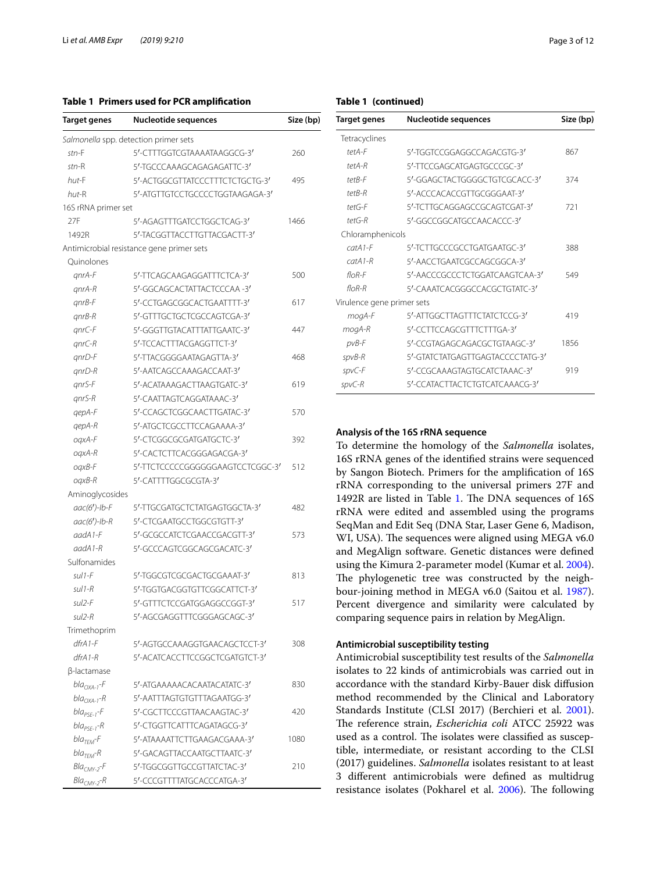## <span id="page-2-0"></span>**Table 1 Primers used for PCR amplifcation**

| Target genes        | <b>Nucleotide sequences</b>               | Size (bp) |
|---------------------|-------------------------------------------|-----------|
|                     | Salmonella spp. detection primer sets     |           |
| $str-F$             | 5'-CTTTGGTCGTAAAATAAGGCG-3'               | 260       |
| $str-R$             | 5'-TGCCCAAAGCAGAGAGATTC-3'                |           |
| hut-F               | 5'-ACTGGCGTTATCCCTTTCTCTGCTG-3'           | 495       |
| hut-R               | 5'-ATGTTGTCCTGCCCCTGGTAAGAGA-3'           |           |
| 16S rRNA primer set |                                           |           |
| 27F                 | 5'-AGAGTTTGATCCTGGCTCAG-3'                | 1466      |
| 1492R               | 5'-TACGGTTACCTTGTTACGACTT-3'              |           |
|                     | Antimicrobial resistance gene primer sets |           |
| Quinolones          |                                           |           |
| $anrA-F$            | 5'-TTCAGCAAGAGGATTTCTCA-3'                | 500       |
| $qnrA-R$            | 5'-GGCAGCACTATTACTCCCAA-3'                |           |
| $qnrB-F$            | 5'-CCTGAGCGGCACTGAATTTT-3'                | 617       |
| gnrB-R              | 5'-GTTTGCTGCTCGCCAGTCGA-3'                |           |
| $qnrC-F$            | 5'-GGGTTGTACATTTATTGAATC-3'               | 447       |
| gnrC-R              | 5'-TCCACTTTACGAGGTTCT-3'                  |           |
| $qnD-F$             | 5'-TTACGGGGAATAGAGTTA-3'                  | 468       |
| gnrD-R              | 5'-AATCAGCCAAAGACCAAT-3'                  |           |
| anrS-F              | 5'-ACATAAAGACTTAAGTGATC-3'                | 619       |
| qnrS-R              | 5'-CAATTAGTCAGGATAAAC-3'                  |           |
| qepA-F              | 5'-CCAGCTCGGCAACTTGATAC-3'                | 570       |
| qepA-R              | 5'-ATGCTCGCCTTCCAGAAAA-3'                 |           |
| oqxA-F              | 5'-CTCGGCGCGATGATGCTC-3'                  | 392       |
| oqxA-R              | 5'-CACTCTTCACGGGAGACGA-3'                 |           |
| oqxB-F              | 5'-TTCTCCCCCGGGGGGAAGTCCTCGGC-3'          | 512       |
| $oqxB-R$            | 5'-CATTTTGGCGCGTA-3'                      |           |
| Aminoglycosides     |                                           |           |
| $aac(6')$ -lb-F     | 5'-TTGCGATGCTCTATGAGTGGCTA-3'             | 482       |
| $aac(6')$ -lb-R     | 5'-CTCGAATGCCTGGCGTGTT-3'                 |           |
| $a$ ad $A$ 1-F      | 5'-GCGCCATCTCGAACCGACGTT-3'               | 573       |
| $a$ ad $A$ 1- $R$   | 5'-GCCCAGTCGGCAGCGACATC-3'                |           |
| Sulfonamides        |                                           |           |
| $s$ ul1- $F$        | 5'-TGGCGTCGCGACTGCGAAAT-3'                | 813       |
| $s$ ul1- $R$        | 5'-TGGTGACGGTGTTCGGCATTCT-3'              |           |
| sul <sub>2-F</sub>  | 5'-GTTTCTCCGATGGAGGCCGGT-3'               | 517       |
| sul2-R              | 5'-AGCGAGGTTTCGGGAGCAGC-3'                |           |
| Trimethoprim        |                                           |           |
| $dfrA1-F$           | 5'-AGTGCCAAAGGTGAACAGCTCCT-3'             | 308       |
| $dfrA1-R$           | 5'-ACATCACCTTCCGGCTCGATGTCT-3'            |           |
| β-lactamase         |                                           |           |
| $bla_{OXA-1}-F$     | 5'-ATGAAAAACACAATACATATC-3'               | 830       |
| $bla_{OXA-1}$ -R    | 5'-AATTTAGTGTGTTTAGAATGG-3'               |           |
| $bla_{PSE-1}$ -F    | 5'-CGCTTCCCGTTAACAAGTAC-3'                | 420       |
| $bla_{PSE-1} - R$   | 5'-CTGGTTCATTTCAGATAGCG-3'                |           |
| $blaTFM-F$          | 5'-ATAAAATTCTTGAAGACGAAA-3'               | 1080      |
| $blaTFM-R$          | 5'-GACAGTTACCAATGCTTAATC-3'               |           |
| $BlaCMY-2-F$        | 5'-TGGCGGTTGCCGTTATCTAC-3'                | 210       |
| $BlaCMY-2 - R$      | 5'-CCCGTTTTATGCACCCATGA-3'                |           |

## **Table 1 (continued)**

| Target genes               | <b>Nucleotide sequences</b>      | Size (bp) |
|----------------------------|----------------------------------|-----------|
| Tetracyclines              |                                  |           |
| tetA-F                     | 5'-TGGTCCGGAGGCCAGACGTG-3'       | 867       |
| tetA-R                     | 5'-TTCCGAGCATGAGTGCCCGC-3'       |           |
| tet <sub>B-F</sub>         | 5'-GGAGCTACTGGGGCTGTCGCACC-3'    | 374       |
| tetB-R                     | 5'-ACCCACACCGTTGCGGGAAT-3'       |           |
| $tet$ G-F                  | 5'-TCTTGCAGGAGCCGCAGTCGAT-3'     | 721       |
| $tet$ G-R                  | 5'-GGCCGGCATGCCAACACCC-3'        |           |
| Chloramphenicols           |                                  |           |
| $catA1-F$                  | 5'-TCTTGCCCGCCTGATGAATGC-3'      | 388       |
| $catA1-R$                  | 5'-AACCTGAATCGCCAGCGGCA-3'       |           |
| $f$ lo $R$ -F              | 5'-AACCCGCCCTCTGGATCAAGTCAA-3'   | 549       |
| $f$ l $\bigcap$ $R$ - $R$  | 5'-CAAATCACGGGCCACGCTGTATC-3'    |           |
| Virulence gene primer sets |                                  |           |
| mogA-F                     | 5'-ATTGGCTTAGTTTCTATCTCCG-3'     | 419       |
| mogA-R                     | 5'-CCTTCCAGCGTTTCTTTGA-3'        |           |
| pvB-F                      | 5'-CCGTAGAGCAGACGCTGTAAGC-3'     | 1856      |
| $spvB-R$                   | 5'-GTATCTATGAGTTGAGTACCCCTATG-3' |           |
| spvC-F                     | 5'-CCGCAAAGTAGTGCATCTAAAC-3'     | 919       |
| spvC-R                     | 5'-CCATACTTACTCTGTCATCAAACG-3'   |           |

## **Analysis of the 16S rRNA sequence**

To determine the homology of the *Salmonella* isolates, 16S rRNA genes of the identifed strains were sequenced by Sangon Biotech. Primers for the amplifcation of 16S rRNA corresponding to the universal primers 27F and 1492R are listed in Table [1.](#page-2-0) The DNA sequences of 16S rRNA were edited and assembled using the programs SeqMan and Edit Seq (DNA Star, Laser Gene 6, Madison, WI, USA). The sequences were aligned using MEGA v6.0 and MegAlign software. Genetic distances were defned using the Kimura 2-parameter model (Kumar et al. [2004](#page-10-12)). The phylogenetic tree was constructed by the neighbour-joining method in MEGA v6.0 (Saitou et al. [1987](#page-11-11)). Percent divergence and similarity were calculated by comparing sequence pairs in relation by MegAlign.

#### **Antimicrobial susceptibility testing**

Antimicrobial susceptibility test results of the *Salmonella* isolates to 22 kinds of antimicrobials was carried out in accordance with the standard Kirby-Bauer disk difusion method recommended by the Clinical and Laboratory Standards Institute (CLSI 2017) (Berchieri et al. [2001](#page-10-13)). The reference strain, *Escherichia coli* ATCC 25922 was used as a control. The isolates were classified as susceptible, intermediate, or resistant according to the CLSI (2017) guidelines. *Salmonella* isolates resistant to at least 3 diferent antimicrobials were defned as multidrug resistance isolates (Pokharel et al. [2006\)](#page-11-12). The following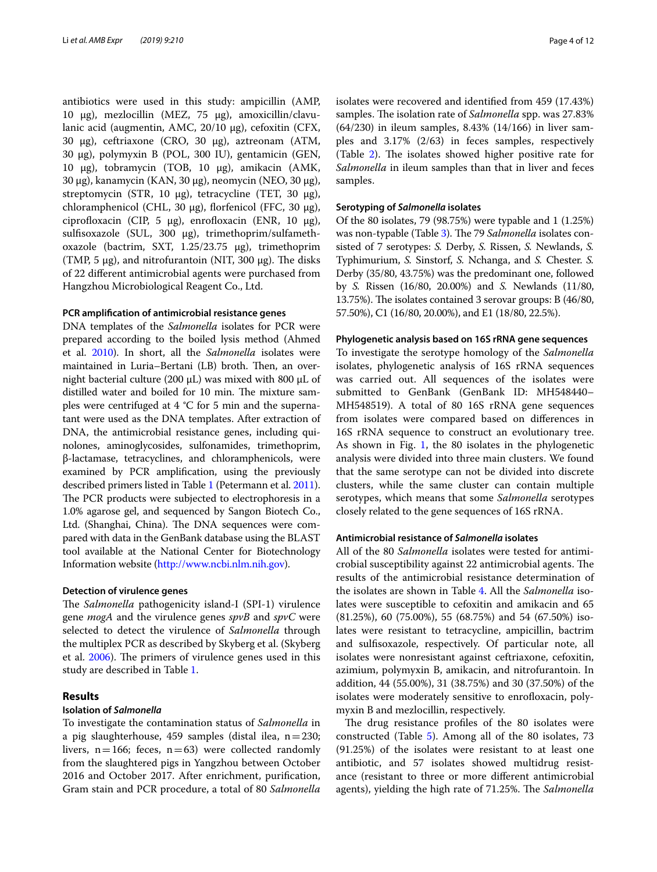antibiotics were used in this study: ampicillin (AMP, 10 μg), mezlocillin (MEZ, 75 μg), amoxicillin/clavulanic acid (augmentin, AMC, 20/10 μg), cefoxitin (CFX, 30 μg), ceftriaxone (CRO, 30 μg), aztreonam (ATM, 30 μg), polymyxin B (POL, 300 IU), gentamicin (GEN, 10 μg), tobramycin (TOB, 10 μg), amikacin (AMK, 30 μg), kanamycin (KAN, 30 μg), neomycin (NEO, 30 μg), streptomycin (STR, 10 μg), tetracycline (TET, 30 μg), chloramphenicol (CHL, 30 μg), forfenicol (FFC, 30 μg), ciprofloxacin (CIP, 5 μg), enrofloxacin (ENR, 10 μg), sulfsoxazole (SUL, 300 μg), trimethoprim/sulfamethoxazole (bactrim, SXT, 1.25/23.75 μg), trimethoprim (TMP, 5  $\mu$ g), and nitrofurantoin (NIT, 300  $\mu$ g). The disks of 22 diferent antimicrobial agents were purchased from Hangzhou Microbiological Reagent Co., Ltd.

#### **PCR amplifcation of antimicrobial resistance genes**

DNA templates of the *Salmonella* isolates for PCR were prepared according to the boiled lysis method (Ahmed et al. [2010\)](#page-10-14). In short, all the *Salmonella* isolates were maintained in Luria–Bertani (LB) broth. Then, an overnight bacterial culture (200 μL) was mixed with 800 μL of distilled water and boiled for 10 min. The mixture samples were centrifuged at 4 °C for 5 min and the supernatant were used as the DNA templates. After extraction of DNA, the antimicrobial resistance genes, including quinolones, aminoglycosides, sulfonamides, trimethoprim, β-lactamase, tetracyclines, and chloramphenicols, were examined by PCR amplifcation, using the previously described primers listed in Table [1](#page-2-0) (Petermann et al. [2011](#page-11-13)). The PCR products were subjected to electrophoresis in a 1.0% agarose gel, and sequenced by Sangon Biotech Co., Ltd. (Shanghai, China). The DNA sequences were compared with data in the GenBank database using the BLAST tool available at the National Center for Biotechnology Information website ([http://www.ncbi.nlm.nih.gov\)](http://www.ncbi.nlm.nih.gov).

#### **Detection of virulence genes**

The *Salmonella* pathogenicity island-I (SPI-1) virulence gene *mogA* and the virulence genes *spvB* and *spvC* were selected to detect the virulence of *Salmonella* through the multiplex PCR as described by Skyberg et al. (Skyberg et al. [2006](#page-11-14)). The primers of virulence genes used in this study are described in Table [1.](#page-2-0)

## **Results**

## **Isolation of** *Salmonella*

To investigate the contamination status of *Salmonella* in a pig slaughterhouse, 459 samples (distal ilea,  $n=230$ ; livers,  $n=166$ ; feces,  $n=63$ ) were collected randomly from the slaughtered pigs in Yangzhou between October 2016 and October 2017. After enrichment, purifcation, Gram stain and PCR procedure, a total of 80 *Salmonella* isolates were recovered and identifed from 459 (17.43%) samples. The isolation rate of *Salmonella* spp. was 27.83% (64/230) in ileum samples, 8.43% (14/166) in liver samples and 3.17% (2/63) in feces samples, respectively (Table  $2$ ). The isolates showed higher positive rate for *Salmonella* in ileum samples than that in liver and feces samples.

#### **Serotyping of** *Salmonella* **isolates**

Of the 80 isolates, 79 (98.75%) were typable and 1 (1.25%) was non-typable (Table [3\)](#page-5-0). The 79 *Salmonella* isolates consisted of 7 serotypes: *S.* Derby, *S.* Rissen, *S.* Newlands, *S.* Typhimurium, *S.* Sinstorf, *S.* Nchanga, and *S.* Chester. *S.* Derby (35/80, 43.75%) was the predominant one, followed by *S.* Rissen (16/80, 20.00%) and *S.* Newlands (11/80, 13.75%). The isolates contained 3 serovar groups: B (46/80, 57.50%), C1 (16/80, 20.00%), and E1 (18/80, 22.5%).

#### **Phylogenetic analysis based on 16S rRNA gene sequences**

To investigate the serotype homology of the *Salmonella* isolates, phylogenetic analysis of 16S rRNA sequences was carried out. All sequences of the isolates were submitted to GenBank (GenBank ID: MH548440– MH548519). A total of 80 16S rRNA gene sequences from isolates were compared based on diferences in 16S rRNA sequence to construct an evolutionary tree. As shown in Fig. [1](#page-6-0), the 80 isolates in the phylogenetic analysis were divided into three main clusters. We found that the same serotype can not be divided into discrete clusters, while the same cluster can contain multiple serotypes, which means that some *Salmonella* serotypes closely related to the gene sequences of 16S rRNA.

#### **Antimicrobial resistance of** *Salmonella* **isolates**

All of the 80 *Salmonella* isolates were tested for antimicrobial susceptibility against 22 antimicrobial agents. The results of the antimicrobial resistance determination of the isolates are shown in Table [4](#page-7-0). All the *Salmonella* isolates were susceptible to cefoxitin and amikacin and 65 (81.25%), 60 (75.00%), 55 (68.75%) and 54 (67.50%) isolates were resistant to tetracycline, ampicillin, bactrim and sulfsoxazole, respectively. Of particular note, all isolates were nonresistant against ceftriaxone, cefoxitin, azimium, polymyxin B, amikacin, and nitrofurantoin. In addition, 44 (55.00%), 31 (38.75%) and 30 (37.50%) of the isolates were moderately sensitive to enrofloxacin, polymyxin B and mezlocillin, respectively.

The drug resistance profiles of the 80 isolates were constructed (Table [5\)](#page-7-1). Among all of the 80 isolates, 73 (91.25%) of the isolates were resistant to at least one antibiotic, and 57 isolates showed multidrug resistance (resistant to three or more diferent antimicrobial agents), yielding the high rate of 71.25%. The *Salmonella*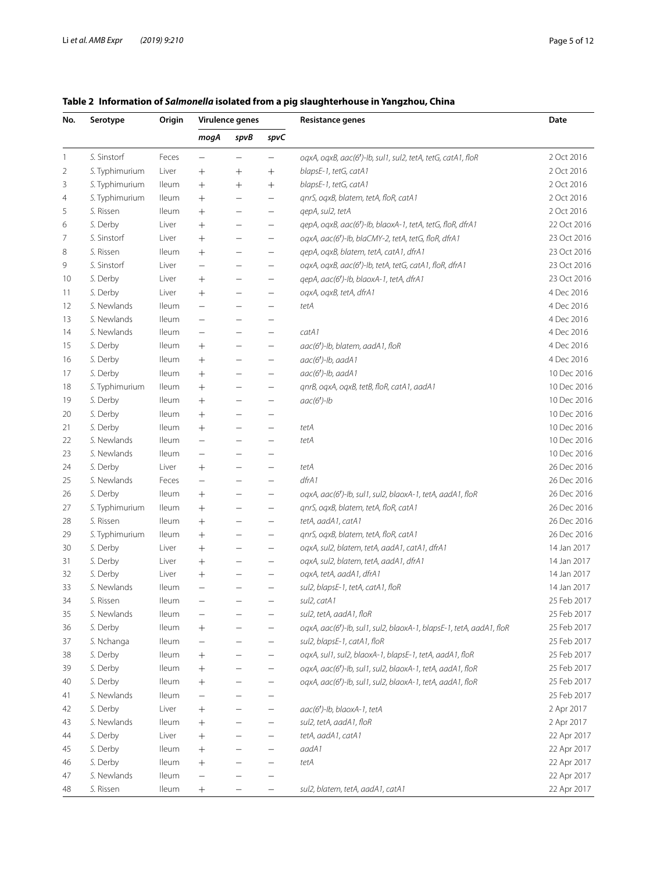| No. | Serotype       | Origin       | Virulence genes          |                          |                                                      |                                                                     | <b>Resistance genes</b>    | Date |
|-----|----------------|--------------|--------------------------|--------------------------|------------------------------------------------------|---------------------------------------------------------------------|----------------------------|------|
|     |                |              | mogA                     | spvB                     | spvC                                                 |                                                                     |                            |      |
| 1   | S. Sinstorf    | Feces        | $\qquad \qquad -$        | $\overline{\phantom{m}}$ | $\qquad \qquad -$                                    | oqxA, oqxB, aac(6')-lb, sul1, sul2, tetA, tetG, catA1, floR         | 2 Oct 2016                 |      |
| 2   | S. Typhimurium | Liver        | $^+$                     | $^{+}$                   | $^{+}$                                               | blapsE-1, tetG, catA1                                               | 2 Oct 2016                 |      |
| 3   | S. Typhimurium | lleum        | $^{+}$                   | $^{+}$                   | $+$                                                  | blapsE-1, tetG, catA1                                               | 2 Oct 2016                 |      |
| 4   | S. Typhimurium | <b>Ileum</b> | $^{+}$                   |                          | $\overline{\phantom{m}}$                             | qnrS, oqxB, blatem, tetA, floR, catA1                               | 2 Oct 2016                 |      |
| 5   | S. Rissen      | lleum        | $^{+}$                   | $\qquad \qquad -$        | $\overline{\phantom{m}}$                             | qepA, sul2, tetA                                                    | 2 Oct 2016                 |      |
| 6   | S. Derby       | Liver        | $^{+}$                   |                          | $\overline{\phantom{m}}$                             | qepA, oqxB, aac(6')-lb, blaoxA-1, tetA, tetG, floR, dfrA1           | 22 Oct 2016                |      |
| 7   | S. Sinstorf    | Liver        | $^{+}$                   |                          | $\overline{\phantom{m}}$                             | oqxA, aac(6')-lb, blaCMY-2, tetA, tetG, floR, dfrA1                 | 23 Oct 2016                |      |
| 8   | S. Rissen      | lleum        | $^{+}$                   |                          | $\overline{\phantom{m}}$                             | qepA, oqxB, blatem, tetA, catA1, dfrA1                              | 23 Oct 2016                |      |
| 9   | S. Sinstorf    | Liver        | $\equiv$                 |                          | $\overline{\phantom{m}}$                             | oqxA, oqxB, aac(6')-lb, tetA, tetG, catA1, floR, dfrA1              | 23 Oct 2016                |      |
| 10  | S. Derby       | Liver        | $^{+}$                   |                          |                                                      | qepA, aac(6')-lb, blaoxA-1, tetA, dfrA1                             | 23 Oct 2016                |      |
| 11  | S. Derby       | Liver        | $^{+}$                   |                          |                                                      | oqxA, oqxB, tetA, dfrA1                                             | 4 Dec 2016                 |      |
| 12  | S. Newlands    | lleum        | $\overline{\phantom{0}}$ |                          |                                                      | tetA                                                                | 4 Dec 2016                 |      |
| 13  | S. Newlands    | lleum        |                          |                          |                                                      |                                                                     | 4 Dec 2016                 |      |
| 14  | S. Newlands    | lleum        | —                        |                          |                                                      | catA1                                                               | 4 Dec 2016                 |      |
| 15  | S. Derby       | lleum        | $^{+}$                   |                          | $\overline{\phantom{m}}$                             | aac(6')-lb, blatem, aadA1, floR                                     | 4 Dec 2016                 |      |
| 16  | S. Derby       | lleum        | $^{+}$                   |                          | $\qquad \qquad -$                                    | aac(6')-lb, aadA1                                                   | 4 Dec 2016                 |      |
| 17  | S. Derby       | lleum        | $^{+}$                   |                          | $\qquad \qquad -$                                    | $aac(6')$ -lb, $aadA1$                                              | 10 Dec 2016                |      |
| 18  | S. Typhimurium | lleum        | $^{+}$                   |                          | $\qquad \qquad -$                                    | qnrB, oqxA, oqxB, tetB, floR, catA1, aadA1                          | 10 Dec 2016                |      |
| 19  | S. Derby       | lleum        | $^{+}$                   |                          | $\qquad \qquad -$                                    | $aac(6')$ -lb                                                       | 10 Dec 2016                |      |
| 20  | S. Derby       | lleum        | $^{+}$                   |                          |                                                      |                                                                     | 10 Dec 2016                |      |
| 21  | S. Derby       | lleum        | $^{+}$                   |                          | $\qquad \qquad -$                                    | tetA                                                                | 10 Dec 2016                |      |
| 22  | S. Newlands    | <b>Ileum</b> |                          |                          |                                                      | tetA                                                                | 10 Dec 2016                |      |
| 23  | S. Newlands    | <b>Ileum</b> |                          |                          |                                                      |                                                                     | 10 Dec 2016                |      |
| 24  | S. Derby       | Liver        | $^{+}$                   |                          |                                                      | tetA                                                                | 26 Dec 2016                |      |
| 25  | S. Newlands    | Feces        | —                        |                          | —                                                    | dfrA1                                                               | 26 Dec 2016                |      |
| 26  | S. Derby       | lleum        | $^{+}$                   |                          | $\qquad \qquad -$                                    | oqxA, aac(6')-lb, sul1, sul2, blaoxA-1, tetA, aadA1, floR           | 26 Dec 2016                |      |
| 27  | S. Typhimurium | lleum        | $^{+}$                   |                          | $\qquad \qquad -$                                    | qnrS, oqxB, blatem, tetA, floR, catA1                               | 26 Dec 2016                |      |
| 28  | S. Rissen      | lleum        | $^{+}$                   |                          | $\qquad \qquad -$                                    | tetA, aadA1, catA1                                                  | 26 Dec 2016                |      |
| 29  | S. Typhimurium | lleum        | $^{+}$                   |                          | $\qquad \qquad -$                                    | qnrS, oqxB, blatem, tetA, floR, catA1                               | 26 Dec 2016                |      |
| 30  | S. Derby       | Liver        | $^{+}$                   | $\qquad \qquad -$        |                                                      | oqxA, sul2, blatem, tetA, aadA1, catA1, dfrA1                       | 14 Jan 2017                |      |
| 31  | S. Derby       | Liver        | $^{+}$                   |                          | $\overline{\phantom{m}}$<br>$\overline{\phantom{m}}$ | oqxA, sul2, blatem, tetA, aadA1, dfrA1                              | 14 Jan 2017                |      |
| 32  | S. Derby       | Liver        | $^{+}$                   |                          | $\qquad \qquad -$                                    | oqxA, tetA, aadA1, dfrA1                                            | 14 Jan 2017                |      |
| 33  | S. Newlands    | <b>Ileum</b> |                          |                          | $\qquad \qquad -$                                    | sul2, blapsE-1, tetA, catA1, floR                                   | 14 Jan 2017                |      |
| 34  | S. Rissen      | <b>Ileum</b> | $\overline{\phantom{0}}$ |                          | $\qquad \qquad -$                                    | sul2, catA1                                                         | 25 Feb 2017                |      |
| 35  | S. Newlands    | lleum        |                          |                          | —                                                    | sul2, tetA, aadA1, floR                                             | 25 Feb 2017                |      |
| 36  | S. Derby       | lleum        | $^+$                     |                          |                                                      | oqxA, aac(6')-lb, sul1, sul2, blaoxA-1, blapsE-1, tetA, aadA1, floR | 25 Feb 2017                |      |
| 37  | S. Nchanga     | lleum        | —                        |                          | $\qquad \qquad -$                                    | sul2, blapsE-1, catA1, floR                                         | 25 Feb 2017                |      |
|     | S. Derby       | lleum        |                          |                          | $\qquad \qquad -$                                    | oqxA, sul1, sul2, blaoxA-1, blapsE-1, tetA, aadA1, floR             | 25 Feb 2017                |      |
| 38  | S. Derby       |              | $^{+}$                   |                          |                                                      | oqxA, aac(6')-lb, sul1, sul2, blaoxA-1, tetA, aadA1, floR           | 25 Feb 2017                |      |
| 39  |                | <b>lleum</b> | $^{+}$                   |                          | $\qquad \qquad -$                                    |                                                                     |                            |      |
| 40  | S. Derby       | <b>lleum</b> | $^+$                     |                          | $\qquad \qquad -$                                    | oqxA, aac(6')-lb, sul1, sul2, blaoxA-1, tetA, aadA1, floR           | 25 Feb 2017<br>25 Feb 2017 |      |
| 41  | S. Newlands    | lleum        |                          |                          |                                                      |                                                                     |                            |      |
| 42  | S. Derby       | Liver        | $\hspace{0.1mm} +$       |                          | $\overline{\phantom{0}}$                             | aac(6')-lb, blaoxA-1, tetA                                          | 2 Apr 2017                 |      |
| 43  | S. Newlands    | <b>lleum</b> | $^{+}$                   |                          | $\overline{\phantom{0}}$                             | sul2, tetA, aadA1, floR                                             | 2 Apr 2017                 |      |
| 44  | S. Derby       | Liver        | $^{+}$                   |                          |                                                      | tetA, aadA1, catA1                                                  | 22 Apr 2017                |      |
| 45  | S. Derby       | lleum        | $^{+}$                   |                          | $\overline{\phantom{0}}$                             | aadA1                                                               | 22 Apr 2017                |      |
| 46  | S. Derby       | <b>lleum</b> | $^{+}$                   |                          |                                                      | tetA                                                                | 22 Apr 2017                |      |
| 47  | S. Newlands    | lleum        |                          |                          |                                                      |                                                                     | 22 Apr 2017                |      |
| 48  | S. Rissen      | lleum        | $^{+}$                   |                          | $\qquad \qquad -$                                    | sul2, blatem, tetA, aadA1, catA1                                    | 22 Apr 2017                |      |

## <span id="page-4-0"></span>**Table 2 Information of** *Salmonella* **isolated from a pig slaughterhouse in Yangzhou, China**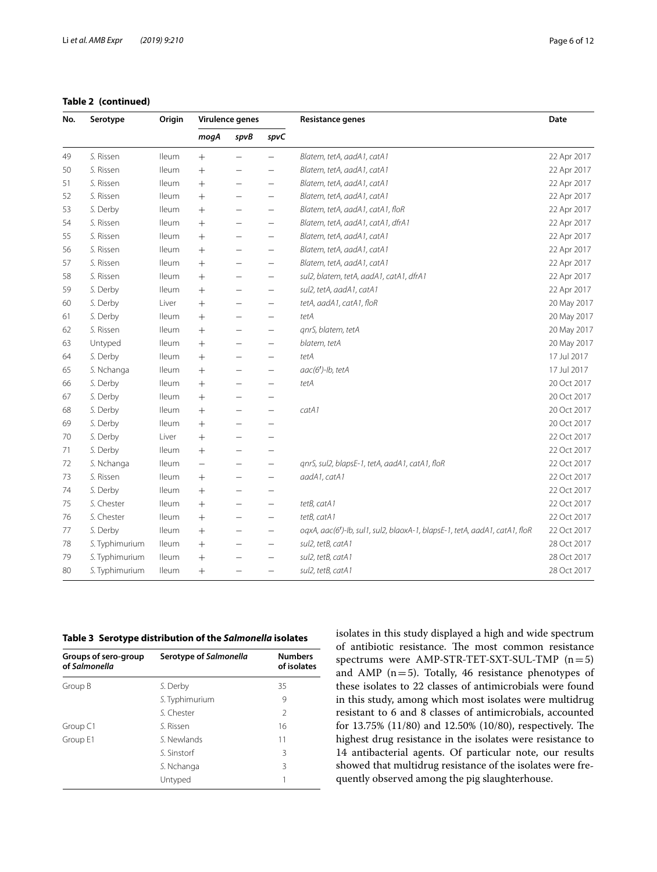|  | Table 2 (continued) |  |
|--|---------------------|--|
|--|---------------------|--|

| No.<br>Serotype<br>Origin<br>Virulence genes<br>Resistance genes |                |              | Date               |                          |                          |                                                                            |             |
|------------------------------------------------------------------|----------------|--------------|--------------------|--------------------------|--------------------------|----------------------------------------------------------------------------|-------------|
|                                                                  |                |              | mogA               | spvB                     | spvC                     |                                                                            |             |
| 49                                                               | S. Rissen      | <b>Ileum</b> | $^{+}$             |                          |                          | Blatem, tetA, aadA1, catA1                                                 | 22 Apr 2017 |
| 50                                                               | S. Rissen      | <b>Ileum</b> | $^{+}$             |                          |                          | Blatem, tetA, aadA1, catA1                                                 | 22 Apr 2017 |
| 51                                                               | S. Rissen      | <b>Ileum</b> | $^{+}$             | $\overline{\phantom{0}}$ |                          | Blatem, tetA, aadA1, catA1                                                 | 22 Apr 2017 |
| 52                                                               | S. Rissen      | <b>Ileum</b> | $+$                | -                        |                          | Blatem, tetA, aadA1, catA1                                                 | 22 Apr 2017 |
| 53                                                               | S. Derby       | <b>lleum</b> | $^{+}$             | $\overline{\phantom{0}}$ | $\overline{\phantom{0}}$ | Blatem, tetA, aadA1, catA1, floR                                           | 22 Apr 2017 |
| 54                                                               | S. Rissen      | <b>Ileum</b> | $^{+}$             |                          |                          | Blatem, tetA, aadA1, catA1, dfrA1                                          | 22 Apr 2017 |
| 55                                                               | S. Rissen      | <b>Ileum</b> | $^{+}$             | -                        |                          | Blatem, tetA, aadA1, catA1                                                 | 22 Apr 2017 |
| 56                                                               | S. Rissen      | <b>Ileum</b> | $^{+}$             |                          | $\qquad \qquad -$        | Blatem, tetA, aadA1, catA1                                                 | 22 Apr 2017 |
| 57                                                               | S. Rissen      | lleum        | $+$                | -                        | $\overline{\phantom{0}}$ | Blatem, tetA, aadA1, catA1                                                 | 22 Apr 2017 |
| 58                                                               | S. Rissen      | <b>lleum</b> | $\hspace{0.1mm} +$ | -                        | $\qquad \qquad -$        | sul2, blatem, tetA, aadA1, catA1, dfrA1                                    | 22 Apr 2017 |
| 59                                                               | S. Derby       | <b>Ileum</b> | $^{+}$             | -                        | $\overline{\phantom{0}}$ | sul2, tetA, aadA1, catA1                                                   | 22 Apr 2017 |
| 60                                                               | S. Derby       | Liver        | $^{+}$             |                          |                          | tetA, aadA1, catA1, floR                                                   | 20 May 2017 |
| 61                                                               | S. Derby       | <b>Ileum</b> | $^{+}$             |                          |                          | tetA                                                                       | 20 May 2017 |
| 62                                                               | S. Rissen      | <b>Ileum</b> | $^{+}$             |                          | $\qquad \qquad -$        | qnrS, blatem, tetA                                                         | 20 May 2017 |
| 63                                                               | Untyped        | <b>Ileum</b> | $^{+}$             |                          | $\overline{\phantom{0}}$ | blatem, tetA                                                               | 20 May 2017 |
| 64                                                               | S. Derby       | <b>Ileum</b> | $^{+}$             |                          |                          | tetA                                                                       | 17 Jul 2017 |
| 65                                                               | S. Nchanga     | lleum        | $^{+}$             |                          | $\overline{\phantom{0}}$ | aac(6')-lb, tetA                                                           | 17 Jul 2017 |
| 66                                                               | S. Derby       | <b>Ileum</b> | $+$                | -                        | $\overline{\phantom{0}}$ | tetA                                                                       | 20 Oct 2017 |
| 67                                                               | S. Derby       | <b>Ileum</b> | $^{+}$             | -                        |                          |                                                                            | 20 Oct 2017 |
| 68                                                               | S. Derby       | <b>lleum</b> | $^{+}$             | $\overline{\phantom{0}}$ | $\overline{\phantom{0}}$ | catA1                                                                      | 20 Oct 2017 |
| 69                                                               | S. Derby       | lleum        | $^{+}$             | $\overline{\phantom{0}}$ | $\overline{\phantom{0}}$ |                                                                            | 20 Oct 2017 |
| 70                                                               | S. Derby       | Liver        | $^{+}$             |                          |                          |                                                                            | 22 Oct 2017 |
| 71                                                               | S. Derby       | lleum        | $+$                | $\overline{\phantom{0}}$ | $\overline{\phantom{0}}$ |                                                                            | 22 Oct 2017 |
| 72                                                               | S. Nchanga     | <b>lleum</b> | $\qquad \qquad -$  | $\overline{\phantom{0}}$ | $\qquad \qquad -$        | qnrS, sul2, blapsE-1, tetA, aadA1, catA1, floR                             | 22 Oct 2017 |
| 73                                                               | S. Rissen      | <b>Ileum</b> | $^{+}$             | —                        | $\frac{1}{2}$            | aadA1, catA1                                                               | 22 Oct 2017 |
| 74                                                               | S. Derby       | <b>Ileum</b> | $^{+}$             | -                        | $\overline{\phantom{0}}$ |                                                                            | 22 Oct 2017 |
| 75                                                               | S. Chester     | <b>Ileum</b> | $+$                | -                        |                          | tetB, catA1                                                                | 22 Oct 2017 |
| 76                                                               | S. Chester     | <b>Ileum</b> | $^{+}$             | $\overline{\phantom{0}}$ | $\overline{\phantom{0}}$ | tetB, catA1                                                                | 22 Oct 2017 |
| 77                                                               | S. Derby       | <b>Ileum</b> | $^{+}$             |                          |                          | oqxA, aac(6')-lb, sul1, sul2, blaoxA-1, blapsE-1, tetA, aadA1, catA1, floR | 22 Oct 2017 |
| 78                                                               | S. Typhimurium | <b>Ileum</b> | $^{+}$             |                          | $\overline{\phantom{0}}$ | sul2, tetB, catA1                                                          | 28 Oct 2017 |
| 79                                                               | S. Typhimurium | <b>lleum</b> | $^{+}$             |                          |                          | sul2, tetB, catA1                                                          | 28 Oct 2017 |
| 80                                                               | S. Typhimurium | <b>Ileum</b> | $^{+}$             |                          |                          | sul2, tetB, catA1                                                          | 28 Oct 2017 |

<span id="page-5-0"></span>

| Groups of sero-group<br>of Salmonella | Serotype of Salmonella | <b>Numbers</b><br>of isolates |
|---------------------------------------|------------------------|-------------------------------|
| Group B                               | S. Derby               | 35                            |
|                                       | S. Typhimurium         | 9                             |
|                                       | S. Chester             | $\mathfrak{D}$                |
| Group C1                              | S. Rissen              | 16                            |
| Group E1                              | S Newlands             | 11                            |
|                                       | S Sinstorf             | 3                             |
|                                       | S. Nchanga             | 3                             |
|                                       | Untyped                |                               |

isolates in this study displayed a high and wide spectrum of antibiotic resistance. The most common resistance spectrums were AMP-STR-TET-SXT-SUL-TMP  $(n=5)$ and AMP ( $n=5$ ). Totally, 46 resistance phenotypes of these isolates to 22 classes of antimicrobials were found in this study, among which most isolates were multidrug resistant to 6 and 8 classes of antimicrobials, accounted for 13.75% (11/80) and 12.50% (10/80), respectively. The highest drug resistance in the isolates were resistance to 14 antibacterial agents. Of particular note, our results showed that multidrug resistance of the isolates were frequently observed among the pig slaughterhouse.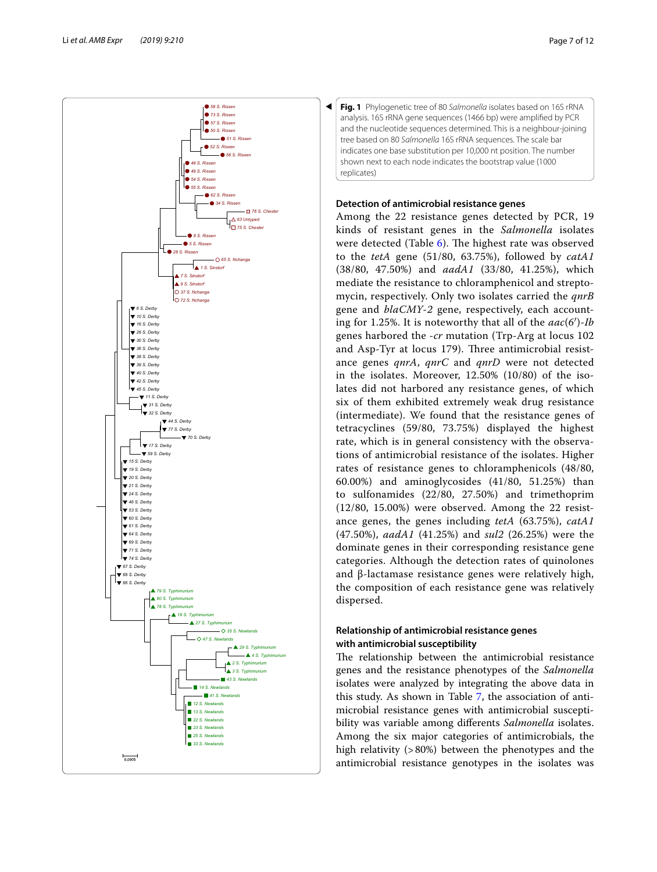

<span id="page-6-0"></span>

## **Detection of antimicrobial resistance genes**

Among the 22 resistance genes detected by PCR, 19 kinds of resistant genes in the *Salmonella* isolates were detected (Table  $6$ ). The highest rate was observed to the *tetA* gene (51/80, 63.75%), followed by *catA1* (38/80, 47.50%) and *aadA1* (33/80, 41.25%), which mediate the resistance to chloramphenicol and streptomycin, respectively. Only two isolates carried the *qnrB* gene and *blaCMY*-*2* gene, respectively, each accounting for 1.25%. It is noteworthy that all of the *aac*(*6*′)-*Ib* genes harbored the -*cr* mutation (Trp-Arg at locus 102 and Asp-Tyr at locus 179). Three antimicrobial resistance genes *qnrA*, *qnrC* and *qnrD* were not detected in the isolates. Moreover, 12.50% (10/80) of the isolates did not harbored any resistance genes, of which six of them exhibited extremely weak drug resistance (intermediate). We found that the resistance genes of tetracyclines (59/80, 73.75%) displayed the highest rate, which is in general consistency with the observations of antimicrobial resistance of the isolates. Higher rates of resistance genes to chloramphenicols (48/80, 60.00%) and aminoglycosides (41/80, 51.25%) than to sulfonamides (22/80, 27.50%) and trimethoprim (12/80, 15.00%) were observed. Among the 22 resistance genes, the genes including *tetA* (63.75%), *catA1* (47.50%), *aadA1* (41.25%) and *sul2* (26.25%) were the dominate genes in their corresponding resistance gene categories. Although the detection rates of quinolones and β-lactamase resistance genes were relatively high, the composition of each resistance gene was relatively dispersed.

## **Relationship of antimicrobial resistance genes with antimicrobial susceptibility**

The relationship between the antimicrobial resistance genes and the resistance phenotypes of the *Salmonella* isolates were analyzed by integrating the above data in this study. As shown in Table [7,](#page-8-1) the association of antimicrobial resistance genes with antimicrobial susceptibility was variable among diferents *Salmonella* isolates. Among the six major categories of antimicrobials, the high relativity (>80%) between the phenotypes and the antimicrobial resistance genotypes in the isolates was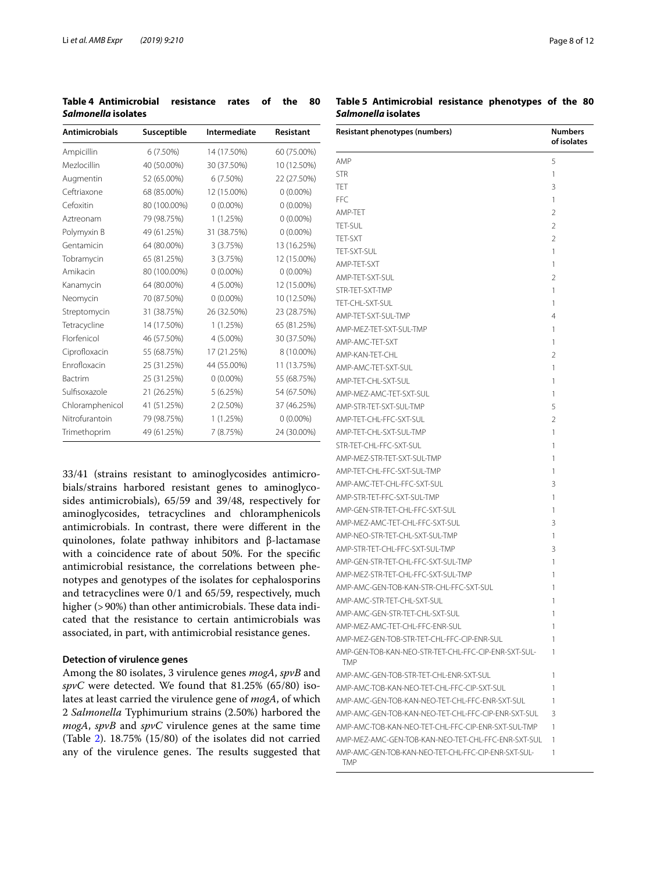<span id="page-7-0"></span>**Table 4 Antimicrobial resistance rates of the 80**  *Salmonella* **isolates**

| <b>Antimicrobials</b> | Susceptible  | Intermediate | Resistant   |
|-----------------------|--------------|--------------|-------------|
| Ampicillin            | $6(7.50\%)$  | 14 (17.50%)  | 60 (75.00%) |
| Mezlocillin           | 40 (50.00%)  | 30 (37.50%)  | 10 (12.50%) |
| Augmentin             | 52 (65.00%)  | 6 (7.50%)    | 22 (27.50%) |
| Ceftriaxone           | 68 (85.00%)  | 12 (15.00%)  | $0(0.00\%)$ |
| Cefoxitin             | 80 (100.00%) | $0(0.00\%)$  | $0(0.00\%)$ |
| Aztreonam             | 79 (98.75%)  | 1(1.25%)     | $0(0.00\%)$ |
| Polymyxin B           | 49 (61.25%)  | 31 (38.75%)  | $0(0.00\%)$ |
| Gentamicin            | 64 (80.00%)  | 3 (3.75%)    | 13 (16.25%) |
| Tobramycin            | 65 (81.25%)  | 3 (3.75%)    | 12 (15.00%) |
| Amikacin              | 80 (100.00%) | $0(0.00\%)$  | $0(0.00\%)$ |
| Kanamycin             | 64 (80.00%)  | 4 (5.00%)    | 12 (15.00%) |
| Neomycin              | 70 (87.50%)  | $0(0.00\%)$  | 10 (12.50%) |
| Streptomycin          | 31 (38.75%)  | 26 (32.50%)  | 23 (28.75%) |
| Tetracycline          | 14 (17.50%)  | 1(1.25%)     | 65 (81.25%) |
| Florfenicol           | 46 (57.50%)  | 4 (5.00%)    | 30 (37.50%) |
| Ciprofloxacin         | 55 (68.75%)  | 17 (21.25%)  | 8 (10.00%)  |
| Enrofloxacin          | 25 (31.25%)  | 44 (55.00%)  | 11 (13.75%) |
| Bactrim               | 25 (31.25%)  | $0(0.00\%)$  | 55 (68.75%) |
| Sulfisoxazole         | 21 (26.25%)  | 5(6.25%)     | 54 (67.50%) |
| Chloramphenicol       | 41 (51.25%)  | 2(2.50%)     | 37 (46.25%) |
| Nitrofurantoin        | 79 (98.75%)  | 1(1.25%)     | $0(0.00\%)$ |
| Trimethoprim          | 49 (61.25%)  | 7 (8.75%)    | 24 (30.00%) |

33/41 (strains resistant to aminoglycosides antimicrobials/strains harbored resistant genes to aminoglycosides antimicrobials), 65/59 and 39/48, respectively for aminoglycosides, tetracyclines and chloramphenicols antimicrobials. In contrast, there were diferent in the quinolones, folate pathway inhibitors and β-lactamase with a coincidence rate of about 50%. For the specifc antimicrobial resistance, the correlations between phenotypes and genotypes of the isolates for cephalosporins and tetracyclines were 0/1 and 65/59, respectively, much higher (>90%) than other antimicrobials. These data indicated that the resistance to certain antimicrobials was associated, in part, with antimicrobial resistance genes.

#### **Detection of virulence genes**

Among the 80 isolates, 3 virulence genes *mogA*, *spvB* and *spvC* were detected. We found that 81.25% (65/80) isolates at least carried the virulence gene of *mogA*, of which 2 *Salmonella* Typhimurium strains (2.50%) harbored the *mogA*, *spvB* and *spvC* virulence genes at the same time (Table [2\)](#page-4-0). 18.75% (15/80) of the isolates did not carried any of the virulence genes. The results suggested that

## <span id="page-7-1"></span>**Table 5 Antimicrobial resistance phenotypes of the 80**  *Salmonella* **isolates**

| Resistant phenotypes (numbers)                               | <b>Numbers</b><br>of isolates |
|--------------------------------------------------------------|-------------------------------|
| AMP                                                          | 5                             |
| <b>STR</b>                                                   | 1                             |
| TET                                                          | 3                             |
| FFC                                                          | 1                             |
| AMP-TET                                                      | $\overline{2}$                |
| <b>TET-SUL</b>                                               | $\overline{2}$                |
| TFT-SXT                                                      | $\overline{2}$                |
| TET-SXT-SUL                                                  | 1                             |
| AMP-TFT-SXT                                                  | 1                             |
| AMP-TFT-SXT-SUL                                              | $\overline{2}$                |
| STR-TET-SXT-TMP                                              | 1                             |
| TET-CHL-SXT-SUL                                              | 1                             |
| AMP-TET-SXT-SUL-TMP                                          | $\overline{4}$                |
| AMP-MEZ-TET-SXT-SUL-TMP                                      | 1                             |
| AMP-AMC-TET-SXT                                              | 1                             |
| AMP-KAN-TET-CHL                                              | $\overline{2}$                |
| AMP-AMC-TET-SXT-SUL                                          | 1                             |
| AMP-TET-CHL-SXT-SUL                                          | 1                             |
| AMP-MEZ-AMC-TET-SXT-SUL                                      | 1                             |
| AMP-STR-TFT-SXT-SUL-TMP                                      | 5                             |
| AMP-TET-CHL-FFC-SXT-SUL                                      | $\mathfrak{D}$                |
|                                                              | 1                             |
| AMP-TET-CHL-SXT-SUL-TMP<br>STR-TET-CHL-FFC-SXT-SUL           |                               |
|                                                              | 1                             |
| AMP-MEZ-STR-TET-SXT-SUL-TMP                                  | 1                             |
| AMP-TET-CHL-FFC-SXT-SUL-TMP                                  | 1                             |
| AMP-AMC-TET-CHL-FFC-SXT-SUL                                  | 3                             |
| AMP-STR-TET-FFC-SXT-SUL-TMP                                  | 1                             |
| AMP-GEN-STR-TET-CHL-FFC-SXT-SUL                              | 1                             |
| AMP-MEZ-AMC-TET-CHL-FFC-SXT-SUL                              | 3                             |
| AMP-NEO-STR-TET-CHL-SXT-SUL-TMP                              | 1                             |
| AMP-STR-TET-CHL-FFC-SXT-SUL-TMP                              | 3                             |
| AMP-GEN-STR-TET-CHL-FFC-SXT-SUL-TMP                          | 1                             |
| AMP-MEZ-STR-TET-CHL-FFC-SXT-SUL-TMP                          | 1                             |
| AMP-AMC-GEN-TOB-KAN-STR-CHL-FFC-SXT-SUL                      | 1                             |
| AMP-AMC-STR-TET-CHL-SXT-SUL                                  | 1                             |
| AMP-AMC-GEN-STR-TET-CHL-SXT-SUL                              | 1                             |
| AMP-MEZ-AMC-TET-CHL-FFC-ENR-SUL                              | 1                             |
| AMP-MEZ-GEN-TOB-STR-TET-CHI-FEC-CIP-ENR-SUL                  | 1                             |
| AMP-GEN-TOB-KAN-NEO-STR-TET-CHL-FFC-CIP-ENR-SXT-SUL-<br>TMP. | 1                             |
| AMP-AMC-GEN-TOB-STR-TET-CHI-FNR-SXT-SUI                      | 1                             |
| AMP-AMC-TOB-KAN-NEO-TET-CHL-FFC-CIP-SXT-SUL                  | 1                             |
| AMP-AMC-GEN-TOB-KAN-NEO-TET-CHL-FFC-ENR-SXT-SUL              | 1                             |
| AMP-AMC-GEN-TOB-KAN-NEO-TET-CHL-FFC-CIP-ENR-SXT-SUL          | 3                             |
| AMP-AMC-TOB-KAN-NEO-TET-CHL-FFC-CIP-ENR-SXT-SUL-TMP          | 1                             |
| AMP-MEZ-AMC-GEN-TOB-KAN-NEO-TET-CHL-FFC-ENR-SXT-SUL          | 1                             |
| AMP-AMC-GEN-TOB-KAN-NEO-TET-CHL-FFC-CIP-ENR-SXT-SUL-<br>TMP. | 1                             |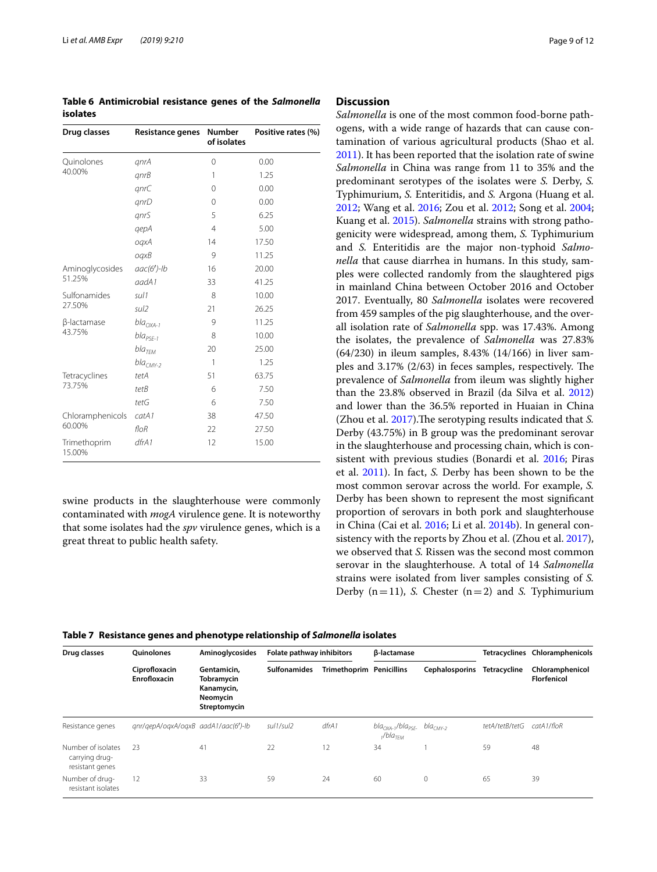<span id="page-8-0"></span>**Table 6 Antimicrobial resistance genes of the**  *Salmonella* **isolates**

| Drug classes           | <b>Resistance genes</b> | <b>Number</b><br>of isolates | Positive rates (%) |
|------------------------|-------------------------|------------------------------|--------------------|
| Quinolones             | qnrA                    | 0                            | 0.00               |
| 40.00%                 | qnrB                    | 1                            | 1.25               |
|                        | qnrC                    | 0                            | 0.00               |
|                        | qnrD                    | $\Omega$                     | 0.00               |
|                        | gnrS                    | 5                            | 6.25               |
|                        | qepA                    | $\overline{4}$               | 5.00               |
|                        | oqxA                    | 14                           | 17.50              |
|                        | oqxB                    | 9                            | 11.25              |
| Aminoglycosides        | $\textit{aac}(6')$ -lb  | 16                           | 20.00              |
| 51.25%                 | aadA1                   | 33                           | 41.25              |
| Sulfonamides           | sul 1                   | 8                            | 10.00              |
| 27.50%                 | sul <sub>2</sub>        | 21                           | 26.25              |
| β-lactamase            | $bla_{OXA-1}$           | 9                            | 11.25              |
| 43.75%                 | $bla_{PSE-1}$           | 8                            | 10.00              |
|                        | bla <sub>TEM</sub>      | 20                           | 25.00              |
|                        | $bla_{CMY-2}$           | 1                            | 1.25               |
| Tetracyclines          | tetA                    | 51                           | 63.75              |
| 73.75%                 | tetB                    | 6                            | 7.50               |
|                        | tetG                    | 6                            | 7.50               |
| Chloramphenicols       | catA1                   | 38                           | 47.50              |
| 60.00%                 | floR                    | 22                           | 27.50              |
| Trimethoprim<br>15.00% | dfrA1                   | 12                           | 15.00              |

swine products in the slaughterhouse were commonly contaminated with *mogA* virulence gene. It is noteworthy that some isolates had the *spv* virulence genes, which is a great threat to public health safety.

## **Discussion**

*Salmonella* is one of the most common food-borne pathogens, with a wide range of hazards that can cause contamination of various agricultural products (Shao et al. [2011](#page-11-15)). It has been reported that the isolation rate of swine *Salmonella* in China was range from 11 to 35% and the predominant serotypes of the isolates were *S.* Derby, *S.* Typhimurium, *S.* Enteritidis, and *S.* Argona (Huang et al. [2012](#page-10-15); Wang et al. [2016;](#page-11-16) Zou et al. [2012;](#page-11-17) Song et al. [2004](#page-11-18); Kuang et al. [2015\)](#page-10-16). *Salmonella* strains with strong pathogenicity were widespread, among them, *S.* Typhimurium and *S.* Enteritidis are the major non-typhoid *Salmonella* that cause diarrhea in humans. In this study, samples were collected randomly from the slaughtered pigs in mainland China between October 2016 and October 2017. Eventually, 80 *Salmonella* isolates were recovered from 459 samples of the pig slaughterhouse, and the overall isolation rate of *Salmonella* spp. was 17.43%. Among the isolates, the prevalence of *Salmonella* was 27.83% (64/230) in ileum samples, 8.43% (14/166) in liver samples and  $3.17\%$  ( $2/63$ ) in feces samples, respectively. The prevalence of *Salmonella* from ileum was slightly higher than the 23.8% observed in Brazil (da Silva et al. [2012](#page-10-17)) and lower than the 36.5% reported in Huaian in China (Zhou et al. [2017](#page-11-19)). The serotyping results indicated that *S*. Derby (43.75%) in B group was the predominant serovar in the slaughterhouse and processing chain, which is consistent with previous studies (Bonardi et al. [2016](#page-10-18); Piras et al. [2011](#page-11-20)). In fact, *S.* Derby has been shown to be the most common serovar across the world. For example, *S.* Derby has been shown to represent the most signifcant proportion of serovars in both pork and slaughterhouse in China (Cai et al. [2016;](#page-10-19) Li et al. [2014b\)](#page-11-21). In general consistency with the reports by Zhou et al. (Zhou et al. [2017](#page-11-19)), we observed that *S.* Rissen was the second most common serovar in the slaughterhouse. A total of 14 *Salmonella* strains were isolated from liver samples consisting of *S.* Derby  $(n=11)$ , *S.* Chester  $(n=2)$  and *S.* Typhimurium

<span id="page-8-1"></span>

| Table 7   Resistance genes and phenotype relationship of <i>Salmonella</i> isolates |  |
|-------------------------------------------------------------------------------------|--|
|-------------------------------------------------------------------------------------|--|

| Drug classes                                            | <b>Ouinolones</b>                    | Aminoglycosides                                                     | Folate pathway inhibitors |                                 | <b>B-lactamase</b>                                              |                |                | Tetracyclines Chloramphenicols        |
|---------------------------------------------------------|--------------------------------------|---------------------------------------------------------------------|---------------------------|---------------------------------|-----------------------------------------------------------------|----------------|----------------|---------------------------------------|
|                                                         | Ciprofloxacin<br><b>Enrofloxacin</b> | Gentamicin,<br>Tobramycin<br>Kanamycin,<br>Neomycin<br>Streptomycin | <b>Sulfonamides</b>       | <b>Trimethoprim Penicillins</b> |                                                                 | Cephalosporins | Tetracycline   | Chloramphenicol<br><b>Florfenicol</b> |
| Resistance genes                                        | anr/gepA/ogxA/ogxB_aadA1/aac(6')-lb  |                                                                     | sul1/sul2                 | dfrA1                           | $bla_{OXA-1}/bla_{PSF-}$ bla <sub>CMY-2</sub><br>$1/bl a_{TFM}$ |                | tetA/tetB/tetG | catA1/floR                            |
| Number of isolates<br>carrying drug-<br>resistant genes | 23                                   | 41                                                                  | 22                        | 12                              | 34                                                              |                | 59             | 48                                    |
| Number of drug-<br>resistant isolates                   | 12                                   | 33                                                                  | 59                        | 24                              | 60                                                              | $\circ$        | 65             | 39                                    |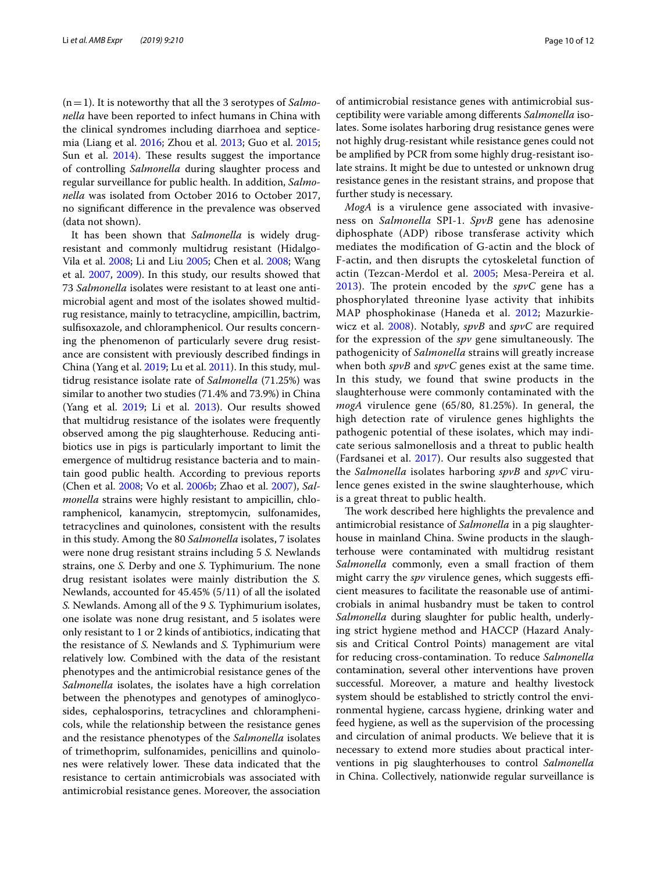(n=1). It is noteworthy that all the 3 serotypes of *Salmonella* have been reported to infect humans in China with the clinical syndromes including diarrhoea and septicemia (Liang et al. [2016;](#page-11-22) Zhou et al. [2013;](#page-11-23) Guo et al. [2015](#page-10-20); Sun et al.  $2014$ ). These results suggest the importance of controlling *Salmonella* during slaughter process and regular surveillance for public health. In addition, *Salmonella* was isolated from October 2016 to October 2017, no signifcant diference in the prevalence was observed (data not shown).

It has been shown that *Salmonella* is widely drugresistant and commonly multidrug resistant (Hidalgo-Vila et al. [2008](#page-10-5); Li and Liu [2005;](#page-10-11) Chen et al. [2008](#page-10-21); Wang et al. [2007](#page-11-25), [2009](#page-11-26)). In this study, our results showed that 73 *Salmonella* isolates were resistant to at least one antimicrobial agent and most of the isolates showed multidrug resistance, mainly to tetracycline, ampicillin, bactrim, sulfsoxazole, and chloramphenicol. Our results concerning the phenomenon of particularly severe drug resistance are consistent with previously described fndings in China (Yang et al. [2019](#page-11-1); Lu et al. [2011](#page-11-27)). In this study, multidrug resistance isolate rate of *Salmonella* (71.25%) was similar to another two studies (71.4% and 73.9%) in China (Yang et al. [2019;](#page-11-1) Li et al. [2013](#page-11-5)). Our results showed that multidrug resistance of the isolates were frequently observed among the pig slaughterhouse. Reducing antibiotics use in pigs is particularly important to limit the emergence of multidrug resistance bacteria and to maintain good public health. According to previous reports (Chen et al. [2008](#page-10-21); Vo et al. [2006b](#page-11-28); Zhao et al. [2007\)](#page-11-29), *Salmonella* strains were highly resistant to ampicillin, chloramphenicol, kanamycin, streptomycin, sulfonamides, tetracyclines and quinolones, consistent with the results in this study. Among the 80 *Salmonella* isolates, 7 isolates were none drug resistant strains including 5 *S.* Newlands strains, one *S*. Derby and one *S*. Typhimurium. The none drug resistant isolates were mainly distribution the *S.* Newlands, accounted for 45.45% (5/11) of all the isolated *S.* Newlands. Among all of the 9 *S.* Typhimurium isolates, one isolate was none drug resistant, and 5 isolates were only resistant to 1 or 2 kinds of antibiotics, indicating that the resistance of *S.* Newlands and *S.* Typhimurium were relatively low. Combined with the data of the resistant phenotypes and the antimicrobial resistance genes of the *Salmonella* isolates, the isolates have a high correlation between the phenotypes and genotypes of aminoglycosides, cephalosporins, tetracyclines and chloramphenicols, while the relationship between the resistance genes and the resistance phenotypes of the *Salmonella* isolates of trimethoprim, sulfonamides, penicillins and quinolones were relatively lower. These data indicated that the resistance to certain antimicrobials was associated with antimicrobial resistance genes. Moreover, the association of antimicrobial resistance genes with antimicrobial susceptibility were variable among diferents *Salmonella* isolates. Some isolates harboring drug resistance genes were not highly drug-resistant while resistance genes could not be amplifed by PCR from some highly drug-resistant isolate strains. It might be due to untested or unknown drug resistance genes in the resistant strains, and propose that further study is necessary.

*MogA* is a virulence gene associated with invasiveness on *Salmonella* SPI-1. *SpvB* gene has adenosine diphosphate (ADP) ribose transferase activity which mediates the modifcation of G-actin and the block of F-actin, and then disrupts the cytoskeletal function of actin (Tezcan-Merdol et al. [2005](#page-11-30); Mesa-Pereira et al. [2013\)](#page-11-31). The protein encoded by the  $sp\nu C$  gene has a phosphorylated threonine lyase activity that inhibits MAP phosphokinase (Haneda et al. [2012;](#page-10-22) Mazurkiewicz et al. [2008](#page-11-32)). Notably, *spvB* and *spvC* are required for the expression of the *spv* gene simultaneously. The pathogenicity of *Salmonella* strains will greatly increase when both *spvB* and *spvC* genes exist at the same time. In this study, we found that swine products in the slaughterhouse were commonly contaminated with the *mogA* virulence gene (65/80, 81.25%). In general, the high detection rate of virulence genes highlights the pathogenic potential of these isolates, which may indicate serious salmonellosis and a threat to public health (Fardsanei et al. [2017](#page-10-23)). Our results also suggested that the *Salmonella* isolates harboring *spvB* and *spvC* virulence genes existed in the swine slaughterhouse, which is a great threat to public health.

The work described here highlights the prevalence and antimicrobial resistance of *Salmonella* in a pig slaughterhouse in mainland China. Swine products in the slaughterhouse were contaminated with multidrug resistant *Salmonella* commonly, even a small fraction of them might carry the *spv* virulence genes, which suggests efficient measures to facilitate the reasonable use of antimicrobials in animal husbandry must be taken to control *Salmonella* during slaughter for public health, underlying strict hygiene method and HACCP (Hazard Analysis and Critical Control Points) management are vital for reducing cross-contamination. To reduce *Salmonella* contamination, several other interventions have proven successful. Moreover, a mature and healthy livestock system should be established to strictly control the environmental hygiene, carcass hygiene, drinking water and feed hygiene, as well as the supervision of the processing and circulation of animal products. We believe that it is necessary to extend more studies about practical interventions in pig slaughterhouses to control *Salmonella* in China. Collectively, nationwide regular surveillance is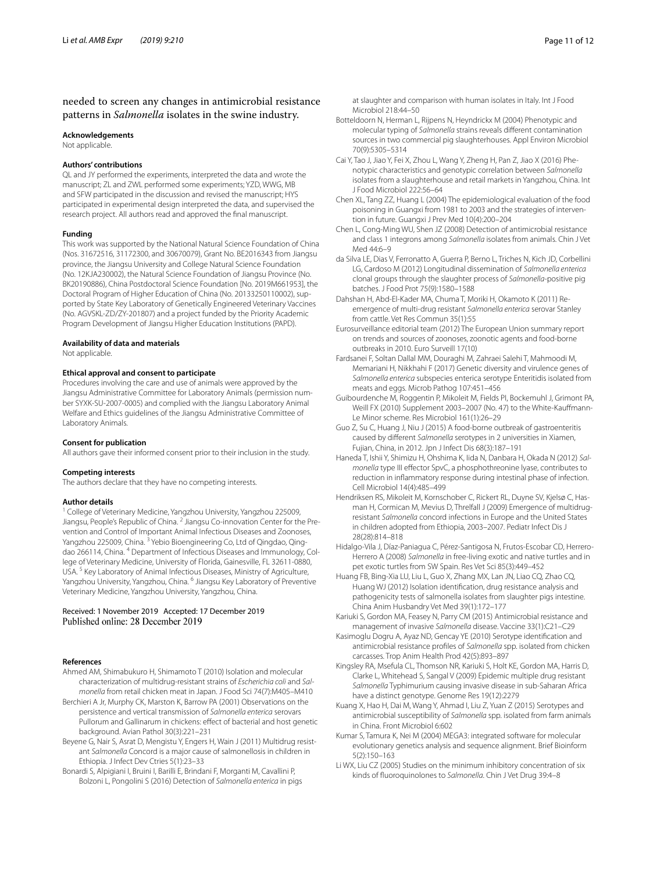## needed to screen any changes in antimicrobial resistance patterns in *Salmonella* isolates in the swine industry.

#### **Acknowledgements**

Not applicable.

#### **Authors' contributions**

QL and JY performed the experiments, interpreted the data and wrote the manuscript; ZL and ZWL performed some experiments; YZD, WWG, MB and SFW participated in the discussion and revised the manuscript; HYS participated in experimental design interpreted the data, and supervised the research project. All authors read and approved the fnal manuscript.

#### **Funding**

This work was supported by the National Natural Science Foundation of China (Nos. 31672516, 31172300, and 30670079), Grant No. BE2016343 from Jiangsu province, the Jiangsu University and College Natural Science Foundation (No. 12KJA230002), the Natural Science Foundation of Jiangsu Province (No. BK20190886), China Postdoctoral Science Foundation [No. 2019M661953], the Doctoral Program of Higher Education of China (No. 20133250110002), supported by State Key Laboratory of Genetically Engineered Veterinary Vaccines (No. AGVSKL-ZD/ZY-201807) and a project funded by the Priority Academic Program Development of Jiangsu Higher Education Institutions (PAPD).

#### **Availability of data and materials**

Not applicable.

#### **Ethical approval and consent to participate**

Procedures involving the care and use of animals were approved by the Jiangsu Administrative Committee for Laboratory Animals (permission number SYXK-SU-2007-0005) and complied with the Jiangsu Laboratory Animal Welfare and Ethics guidelines of the Jiangsu Administrative Committee of Laboratory Animals.

#### **Consent for publication**

All authors gave their informed consent prior to their inclusion in the study.

#### **Competing interests**

The authors declare that they have no competing interests.

#### **Author details**

<sup>1</sup> College of Veterinary Medicine, Yangzhou University, Yangzhou 225009, Jiangsu, People's Republic of China. 2 Jiangsu Co-innovation Center for the Prevention and Control of Important Animal Infectious Diseases and Zoonoses, Yangzhou 225009, China. <sup>3</sup> Yebio Bioengineering Co, Ltd of Qingdao, Qingdao 266114, China. 4 Department of Infectious Diseases and Immunology, College of Veterinary Medicine, University of Florida, Gainesville, FL 32611-0880, USA. 5 Key Laboratory of Animal Infectious Diseases, Ministry of Agriculture, Yangzhou University, Yangzhou, China. <sup>6</sup> Jiangsu Key Laboratory of Preventive Veterinary Medicine, Yangzhou University, Yangzhou, China.

#### Received: 1 November 2019 Accepted: 17 December 2019 Published online: 28 December 2019

#### **References**

- <span id="page-10-14"></span>Ahmed AM, Shimabukuro H, Shimamoto T (2010) Isolation and molecular characterization of multidrug-resistant strains of *Escherichia coli* and *Salmonella* from retail chicken meat in Japan. J Food Sci 74(7):M405–M410
- <span id="page-10-13"></span>Berchieri A Jr, Murphy CK, Marston K, Barrow PA (2001) Observations on the persistence and vertical transmission of *Salmonella enterica* serovars Pullorum and Gallinarum in chickens: efect of bacterial and host genetic background. Avian Pathol 30(3):221–231
- <span id="page-10-9"></span>Beyene G, Nair S, Asrat D, Mengistu Y, Engers H, Wain J (2011) Multidrug resistant *Salmonella* Concord is a major cause of salmonellosis in children in Ethiopia. J Infect Dev Ctries 5(1):23–33
- <span id="page-10-18"></span>Bonardi S, Alpigiani I, Bruini I, Barilli E, Brindani F, Morganti M, Cavallini P, Bolzoni L, Pongolini S (2016) Detection of *Salmonella enterica* in pigs

at slaughter and comparison with human isolates in Italy. Int J Food Microbiol 218:44–50

- <span id="page-10-4"></span>Botteldoorn N, Herman L, Rijpens N, Heyndrickx M (2004) Phenotypic and molecular typing of *Salmonella* strains reveals diferent contamination sources in two commercial pig slaughterhouses. Appl Environ Microbiol 70(9):5305–5314
- <span id="page-10-19"></span>Cai Y, Tao J, Jiao Y, Fei X, Zhou L, Wang Y, Zheng H, Pan Z, Jiao X (2016) Phenotypic characteristics and genotypic correlation between *Salmonella* isolates from a slaughterhouse and retail markets in Yangzhou, China. Int J Food Microbiol 222:56–64
- <span id="page-10-3"></span>Chen XL, Tang ZZ, Huang L (2004) The epidemiological evaluation of the food poisoning in Guangxi from 1981 to 2003 and the strategies of intervention in future. Guangxi J Prev Med 10(4):200–204
- <span id="page-10-21"></span>Chen L, Cong-Ming WU, Shen JZ (2008) Detection of antimicrobial resistance and class 1 integrons among *Salmonella* isolates from animals. Chin J Vet Med 44:6–9
- <span id="page-10-17"></span>da Silva LE, Dias V, Ferronatto A, Guerra P, Berno L, Triches N, Kich JD, Corbellini LG, Cardoso M (2012) Longitudinal dissemination of *Salmonella enterica* clonal groups through the slaughter process of *Salmonella*-positive pig batches. J Food Prot 75(9):1580–1588
- <span id="page-10-8"></span>Dahshan H, Abd-El-Kader MA, Chuma T, Moriki H, Okamoto K (2011) Reemergence of multi-drug resistant *Salmonella enterica* serovar Stanley from cattle. Vet Res Commun 35(1):55
- <span id="page-10-0"></span>Eurosurveillance editorial team (2012) The European Union summary report on trends and sources of zoonoses, zoonotic agents and food-borne outbreaks in 2010. Euro Surveill 17(10)
- <span id="page-10-23"></span>Fardsanei F, Soltan Dallal MM, Douraghi M, Zahraei Salehi T, Mahmoodi M, Memariani H, Nikkhahi F (2017) Genetic diversity and virulence genes of *Salmonella enterica* subspecies enterica serotype Enteritidis isolated from meats and eggs. Microb Pathog 107:451–456
- <span id="page-10-2"></span>Guibourdenche M, Roggentin P, Mikoleit M, Fields PI, Bockemuhl J, Grimont PA, Weill FX (2010) Supplement 2003–2007 (No. 47) to the White-Kaufmann-Le Minor scheme. Res Microbiol 161(1):26–29
- <span id="page-10-20"></span>Guo Z, Su C, Huang J, Niu J (2015) A food-borne outbreak of gastroenteritis caused by diferent *Salmonella* serotypes in 2 universities in Xiamen, Fujian, China, in 2012. Jpn J Infect Dis 68(3):187–191
- <span id="page-10-22"></span>Haneda T, Ishii Y, Shimizu H, Ohshima K, Iida N, Danbara H, Okada N (2012) *Salmonella* type III efector SpvC, a phosphothreonine lyase, contributes to reduction in infammatory response during intestinal phase of infection. Cell Microbiol 14(4):485–499
- <span id="page-10-10"></span>Hendriksen RS, Mikoleit M, Kornschober C, Rickert RL, Duyne SV, Kjelsø C, Hasman H, Cormican M, Mevius D, Threlfall J (2009) Emergence of multidrugresistant *Salmonella* concord infections in Europe and the United States in children adopted from Ethiopia, 2003–2007. Pediatr Infect Dis J 28(28):814–818
- <span id="page-10-5"></span>Hidalgo-Vila J, Díaz-Paniagua C, Pérez-Santigosa N, Frutos-Escobar CD, Herrero-Herrero A (2008) *Salmonella* in free-living exotic and native turtles and in pet exotic turtles from SW Spain. Res Vet Sci 85(3):449–452
- <span id="page-10-15"></span>Huang FB, Bing-Xia LU, Liu L, Guo X, Zhang MX, Lan JN, Liao CQ, Zhao CQ, Huang WJ (2012) Isolation identifcation, drug resistance analysis and pathogenicity tests of salmonella isolates from slaughter pigs intestine. China Anim Husbandry Vet Med 39(1):172–177
- <span id="page-10-6"></span>Kariuki S, Gordon MA, Feasey N, Parry CM (2015) Antimicrobial resistance and management of invasive *Salmonella* disease. Vaccine 33(1):C21–C29
- <span id="page-10-1"></span>Kasimoglu Dogru A, Ayaz ND, Gencay YE (2010) Serotype identifcation and antimicrobial resistance profles of *Salmonella* spp. isolated from chicken carcasses. Trop Anim Health Prod 42(5):893–897
- <span id="page-10-7"></span>Kingsley RA, Msefula CL, Thomson NR, Kariuki S, Holt KE, Gordon MA, Harris D, Clarke L, Whitehead S, Sangal V (2009) Epidemic multiple drug resistant *Salmonella* Typhimurium causing invasive disease in sub-Saharan Africa have a distinct genotype. Genome Res 19(12):2279
- <span id="page-10-16"></span>Kuang X, Hao H, Dai M, Wang Y, Ahmad I, Liu Z, Yuan Z (2015) Serotypes and antimicrobial susceptibility of *Salmonella* spp. isolated from farm animals in China. Front Microbiol 6:602
- <span id="page-10-12"></span>Kumar S, Tamura K, Nei M (2004) MEGA3: integrated software for molecular evolutionary genetics analysis and sequence alignment. Brief Bioinform 5(2):150–163
- <span id="page-10-11"></span>Li WX, Liu CZ (2005) Studies on the minimum inhibitory concentration of six kinds of fuoroquinolones to *Salmonella*. Chin J Vet Drug 39:4–8